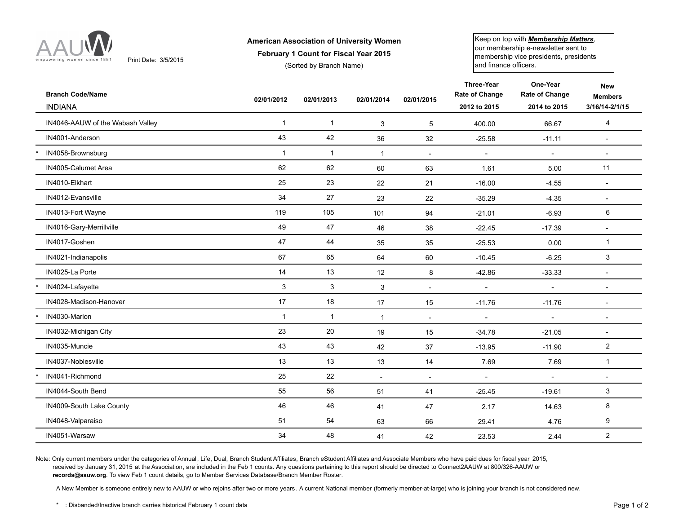

Print Date: 3/5/2015

## **American Association of University Women**

**February 1 Count for Fiscal Year 2015**

(Sorted by Branch Name)

Keep on top with *Membership Matters,* our membership e-newsletter sent to membership vice presidents, presidents and finance officers.

| <b>Branch Code/Name</b><br><b>INDIANA</b> | 02/01/2012   | 02/01/2013   | 02/01/2014               | 02/01/2015               | Three-Year<br><b>Rate of Change</b><br>2012 to 2015 | One-Year<br>Rate of Change<br>2014 to 2015 | <b>New</b><br><b>Members</b><br>3/16/14-2/1/15 |
|-------------------------------------------|--------------|--------------|--------------------------|--------------------------|-----------------------------------------------------|--------------------------------------------|------------------------------------------------|
| IN4046-AAUW of the Wabash Valley          | $\mathbf{1}$ | $\mathbf{1}$ | 3                        | 5                        | 400.00                                              | 66.67                                      | $\overline{4}$                                 |
| IN4001-Anderson                           | 43           | 42           | 36                       | 32                       | $-25.58$                                            | $-11.11$                                   | $\blacksquare$                                 |
| IN4058-Brownsburg                         | $\mathbf{1}$ | $\mathbf{1}$ | $\overline{1}$           | $\overline{a}$           | $\overline{a}$                                      | $\mathbf{r}$                               | $\sim$                                         |
| IN4005-Calumet Area                       | 62           | 62           | 60                       | 63                       | 1.61                                                | 5.00                                       | 11                                             |
| IN4010-Elkhart                            | 25           | 23           | 22                       | 21                       | $-16.00$                                            | $-4.55$                                    | $\sim$                                         |
| IN4012-Evansville                         | 34           | 27           | 23                       | 22                       | $-35.29$                                            | $-4.35$                                    | $\blacksquare$                                 |
| IN4013-Fort Wayne                         | 119          | 105          | 101                      | 94                       | $-21.01$                                            | $-6.93$                                    | 6                                              |
| IN4016-Gary-Merrillville                  | 49           | 47           | 46                       | 38                       | $-22.45$                                            | $-17.39$                                   | $\overline{\phantom{a}}$                       |
| IN4017-Goshen                             | 47           | 44           | 35                       | 35                       | $-25.53$                                            | 0.00                                       | $\mathbf{1}$                                   |
| IN4021-Indianapolis                       | 67           | 65           | 64                       | 60                       | $-10.45$                                            | $-6.25$                                    | 3                                              |
| IN4025-La Porte                           | 14           | 13           | 12                       | 8                        | $-42.86$                                            | $-33.33$                                   | $\blacksquare$                                 |
| IN4024-Lafayette                          | 3            | 3            | 3                        | $\overline{\phantom{a}}$ |                                                     | $\blacksquare$                             | $\blacksquare$                                 |
| IN4028-Madison-Hanover                    | 17           | 18           | 17                       | 15                       | $-11.76$                                            | $-11.76$                                   | $\sim$                                         |
| IN4030-Marion                             | $\mathbf{1}$ | $\mathbf{1}$ | $\overline{1}$           | $\overline{a}$           |                                                     | $\sim$                                     | $\sim$                                         |
| IN4032-Michigan City                      | 23           | 20           | 19                       | 15                       | $-34.78$                                            | $-21.05$                                   | $\overline{\phantom{a}}$                       |
| IN4035-Muncie                             | 43           | 43           | 42                       | 37                       | $-13.95$                                            | $-11.90$                                   | $\overline{c}$                                 |
| IN4037-Noblesville                        | 13           | 13           | 13                       | 14                       | 7.69                                                | 7.69                                       | $\mathbf{1}$                                   |
| IN4041-Richmond                           | 25           | 22           | $\overline{\phantom{a}}$ | $\overline{\phantom{a}}$ | $\mathbf{r}$                                        | $\blacksquare$                             | $\blacksquare$                                 |
| IN4044-South Bend                         | 55           | 56           | 51                       | 41                       | $-25.45$                                            | $-19.61$                                   | 3                                              |
| IN4009-South Lake County                  | 46           | 46           | 41                       | 47                       | 2.17                                                | 14.63                                      | 8                                              |
| IN4048-Valparaiso                         | 51           | 54           | 63                       | 66                       | 29.41                                               | 4.76                                       | 9                                              |
| IN4051-Warsaw                             | 34           | 48           | 41                       | 42                       | 23.53                                               | 2.44                                       | $\overline{c}$                                 |

Note: Only current members under the categories of Annual, Life, Dual, Branch Student Affiliates, Branch eStudent Affiliates and Associate Members who have paid dues for fiscal year 2015, received by January 31, 2015 at the Association, are included in the Feb 1 counts. Any questions pertaining to this report should be directed to Connect2AAUW at 800/326-AAUW or **records@aauw.org**. To view Feb 1 count details, go to Member Services Database/Branch Member Roster.

A New Member is someone entirely new to AAUW or who rejoins after two or more years. A current National member (formerly member-at-large) who is joining your branch is not considered new.